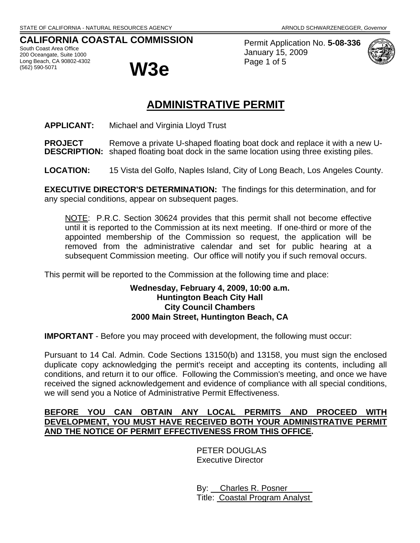# **CALIFORNIA COASTAL COMMISSION**

South Coast Area Office 200 Oceangate, Suite 1000 Long Beach, CA 90802-4302 (562) 590-5071 **W3e**



Permit Application No. **5-08-336** January 15, 2009 Page 1 of 5



# **ADMINISTRATIVE PERMIT**

**APPLICANT:** Michael and Virginia Lloyd Trust

**PROJECT** Remove a private U-shaped floating boat dock and replace it with a new U-**DESCRIPTION:** shaped floating boat dock in the same location using three existing piles.

**LOCATION:** 15 Vista del Golfo, Naples Island, City of Long Beach, Los Angeles County.

**EXECUTIVE DIRECTOR'S DETERMINATION:** The findings for this determination, and for any special conditions, appear on subsequent pages.

NOTE: P.R.C. Section 30624 provides that this permit shall not become effective until it is reported to the Commission at its next meeting. If one-third or more of the appointed membership of the Commission so request, the application will be removed from the administrative calendar and set for public hearing at a subsequent Commission meeting. Our office will notify you if such removal occurs.

This permit will be reported to the Commission at the following time and place:

#### **Wednesday, February 4, 2009, 10:00 a.m. Huntington Beach City Hall City Council Chambers 2000 Main Street, Huntington Beach, CA**

**IMPORTANT** - Before you may proceed with development, the following must occur:

Pursuant to 14 Cal. Admin. Code Sections 13150(b) and 13158, you must sign the enclosed duplicate copy acknowledging the permit's receipt and accepting its contents, including all conditions, and return it to our office. Following the Commission's meeting, and once we have received the signed acknowledgement and evidence of compliance with all special conditions, we will send you a Notice of Administrative Permit Effectiveness.

### **BEFORE YOU CAN OBTAIN ANY LOCAL PERMITS AND PROCEED WITH DEVELOPMENT, YOU MUST HAVE RECEIVED BOTH YOUR ADMINISTRATIVE PERMIT AND THE NOTICE OF PERMIT EFFECTIVENESS FROM THIS OFFICE.**

PETER DOUGLAS Executive Director

 By: Charles R. Posner Title: Coastal Program Analyst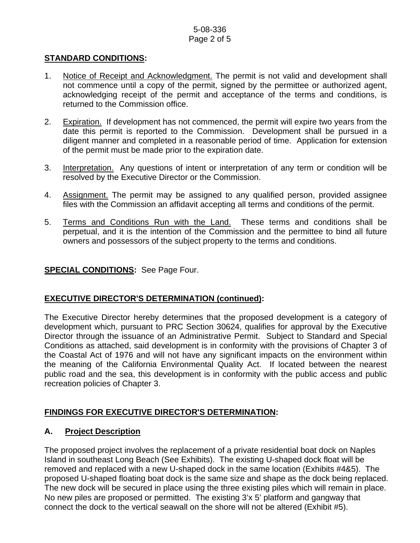#### 5-08-336 Page 2 of 5

### **STANDARD CONDITIONS:**

- 1. Notice of Receipt and Acknowledgment. The permit is not valid and development shall not commence until a copy of the permit, signed by the permittee or authorized agent, acknowledging receipt of the permit and acceptance of the terms and conditions, is returned to the Commission office.
- 2. Expiration. If development has not commenced, the permit will expire two years from the date this permit is reported to the Commission. Development shall be pursued in a diligent manner and completed in a reasonable period of time. Application for extension of the permit must be made prior to the expiration date.
- 3. Interpretation. Any questions of intent or interpretation of any term or condition will be resolved by the Executive Director or the Commission.
- 4. Assignment. The permit may be assigned to any qualified person, provided assignee files with the Commission an affidavit accepting all terms and conditions of the permit.
- 5. Terms and Conditions Run with the Land. These terms and conditions shall be perpetual, and it is the intention of the Commission and the permittee to bind all future owners and possessors of the subject property to the terms and conditions.

## **SPECIAL CONDITIONS:** See Page Four.

#### **EXECUTIVE DIRECTOR'S DETERMINATION (continued):**

The Executive Director hereby determines that the proposed development is a category of development which, pursuant to PRC Section 30624, qualifies for approval by the Executive Director through the issuance of an Administrative Permit. Subject to Standard and Special Conditions as attached, said development is in conformity with the provisions of Chapter 3 of the Coastal Act of 1976 and will not have any significant impacts on the environment within the meaning of the California Environmental Quality Act. If located between the nearest public road and the sea, this development is in conformity with the public access and public recreation policies of Chapter 3.

# **FINDINGS FOR EXECUTIVE DIRECTOR'S DETERMINATION:**

#### **A. Project Description**

The proposed project involves the replacement of a private residential boat dock on Naples Island in southeast Long Beach (See Exhibits). The existing U-shaped dock float will be removed and replaced with a new U-shaped dock in the same location (Exhibits #4&5). The proposed U-shaped floating boat dock is the same size and shape as the dock being replaced. The new dock will be secured in place using the three existing piles which will remain in place. No new piles are proposed or permitted. The existing 3'x 5' platform and gangway that connect the dock to the vertical seawall on the shore will not be altered (Exhibit #5).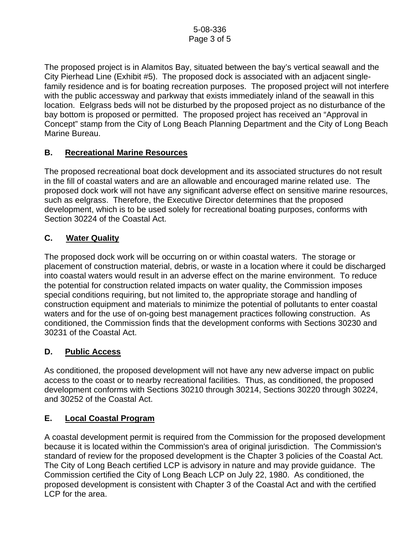The proposed project is in Alamitos Bay, situated between the bay's vertical seawall and the City Pierhead Line (Exhibit #5). The proposed dock is associated with an adjacent singlefamily residence and is for boating recreation purposes. The proposed project will not interfere with the public accessway and parkway that exists immediately inland of the seawall in this location. Eelgrass beds will not be disturbed by the proposed project as no disturbance of the bay bottom is proposed or permitted. The proposed project has received an "Approval in Concept" stamp from the City of Long Beach Planning Department and the City of Long Beach Marine Bureau.

# **B. Recreational Marine Resources**

The proposed recreational boat dock development and its associated structures do not result in the fill of coastal waters and are an allowable and encouraged marine related use. The proposed dock work will not have any significant adverse effect on sensitive marine resources, such as eelgrass. Therefore, the Executive Director determines that the proposed development, which is to be used solely for recreational boating purposes, conforms with Section 30224 of the Coastal Act.

## **C. Water Quality**

The proposed dock work will be occurring on or within coastal waters. The storage or placement of construction material, debris, or waste in a location where it could be discharged into coastal waters would result in an adverse effect on the marine environment. To reduce the potential for construction related impacts on water quality, the Commission imposes special conditions requiring, but not limited to, the appropriate storage and handling of construction equipment and materials to minimize the potential of pollutants to enter coastal waters and for the use of on-going best management practices following construction. As conditioned, the Commission finds that the development conforms with Sections 30230 and 30231 of the Coastal Act.

#### **D. Public Access**

As conditioned, the proposed development will not have any new adverse impact on public access to the coast or to nearby recreational facilities. Thus, as conditioned, the proposed development conforms with Sections 30210 through 30214, Sections 30220 through 30224, and 30252 of the Coastal Act.

# **E. Local Coastal Program**

A coastal development permit is required from the Commission for the proposed development because it is located within the Commission's area of original jurisdiction. The Commission's standard of review for the proposed development is the Chapter 3 policies of the Coastal Act. The City of Long Beach certified LCP is advisory in nature and may provide guidance. The Commission certified the City of Long Beach LCP on July 22, 1980. As conditioned, the proposed development is consistent with Chapter 3 of the Coastal Act and with the certified LCP for the area.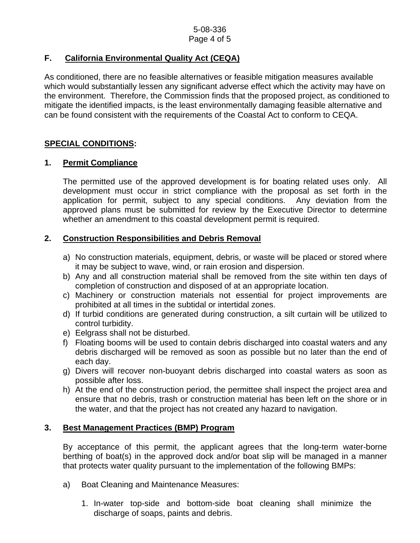# **F. California Environmental Quality Act (CEQA)**

As conditioned, there are no feasible alternatives or feasible mitigation measures available which would substantially lessen any significant adverse effect which the activity may have on the environment. Therefore, the Commission finds that the proposed project, as conditioned to mitigate the identified impacts, is the least environmentally damaging feasible alternative and can be found consistent with the requirements of the Coastal Act to conform to CEQA.

## **SPECIAL CONDITIONS:**

## **1. Permit Compliance**

 The permitted use of the approved development is for boating related uses only. All development must occur in strict compliance with the proposal as set forth in the application for permit, subject to any special conditions. Any deviation from the approved plans must be submitted for review by the Executive Director to determine whether an amendment to this coastal development permit is required.

## **2. Construction Responsibilities and Debris Removal**

- a) No construction materials, equipment, debris, or waste will be placed or stored where it may be subject to wave, wind, or rain erosion and dispersion.
- b) Any and all construction material shall be removed from the site within ten days of completion of construction and disposed of at an appropriate location.
- c) Machinery or construction materials not essential for project improvements are prohibited at all times in the subtidal or intertidal zones.
- d) If turbid conditions are generated during construction, a silt curtain will be utilized to control turbidity.
- e) Eelgrass shall not be disturbed.
- f) Floating booms will be used to contain debris discharged into coastal waters and any debris discharged will be removed as soon as possible but no later than the end of each day.
- g) Divers will recover non-buoyant debris discharged into coastal waters as soon as possible after loss.
- h) At the end of the construction period, the permittee shall inspect the project area and ensure that no debris, trash or construction material has been left on the shore or in the water, and that the project has not created any hazard to navigation.

#### **3. Best Management Practices (BMP) Program**

By acceptance of this permit, the applicant agrees that the long-term water-borne berthing of boat(s) in the approved dock and/or boat slip will be managed in a manner that protects water quality pursuant to the implementation of the following BMPs:

- a) Boat Cleaning and Maintenance Measures:
	- 1. In-water top-side and bottom-side boat cleaning shall minimize the discharge of soaps, paints and debris.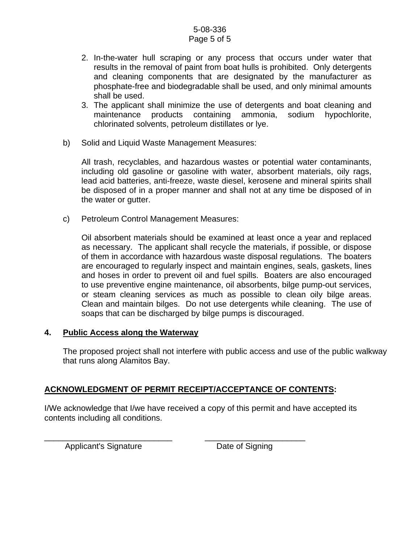#### 5-08-336 Page 5 of 5

- 2. In-the-water hull scraping or any process that occurs under water that results in the removal of paint from boat hulls is prohibited. Only detergents and cleaning components that are designated by the manufacturer as phosphate-free and biodegradable shall be used, and only minimal amounts shall be used.
- 3. The applicant shall minimize the use of detergents and boat cleaning and maintenance products containing ammonia, sodium hypochlorite, chlorinated solvents, petroleum distillates or lye.
- b) Solid and Liquid Waste Management Measures:

All trash, recyclables, and hazardous wastes or potential water contaminants, including old gasoline or gasoline with water, absorbent materials, oily rags, lead acid batteries, anti-freeze, waste diesel, kerosene and mineral spirits shall be disposed of in a proper manner and shall not at any time be disposed of in the water or gutter.

c) Petroleum Control Management Measures:

Oil absorbent materials should be examined at least once a year and replaced as necessary. The applicant shall recycle the materials, if possible, or dispose of them in accordance with hazardous waste disposal regulations. The boaters are encouraged to regularly inspect and maintain engines, seals, gaskets, lines and hoses in order to prevent oil and fuel spills. Boaters are also encouraged to use preventive engine maintenance, oil absorbents, bilge pump-out services, or steam cleaning services as much as possible to clean oily bilge areas. Clean and maintain bilges. Do not use detergents while cleaning. The use of soaps that can be discharged by bilge pumps is discouraged.

#### **4. Public Access along the Waterway**

The proposed project shall not interfere with public access and use of the public walkway that runs along Alamitos Bay.

# **ACKNOWLEDGMENT OF PERMIT RECEIPT/ACCEPTANCE OF CONTENTS:**

I/We acknowledge that I/we have received a copy of this permit and have accepted its contents including all conditions.

Applicant's Signature Date of Signing

\_\_\_\_\_\_\_\_\_\_\_\_\_\_\_\_\_\_\_\_\_\_\_\_\_\_\_\_ \_\_\_\_\_\_\_\_\_\_\_\_\_\_\_\_\_\_\_\_\_\_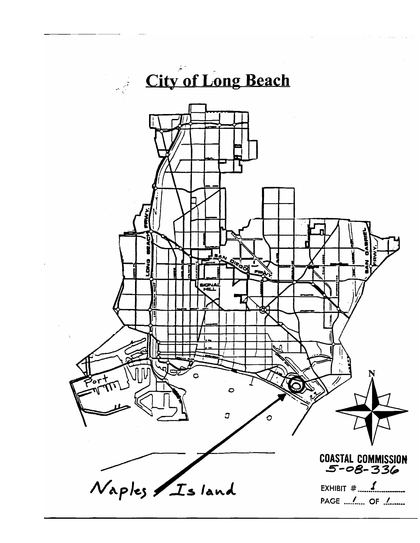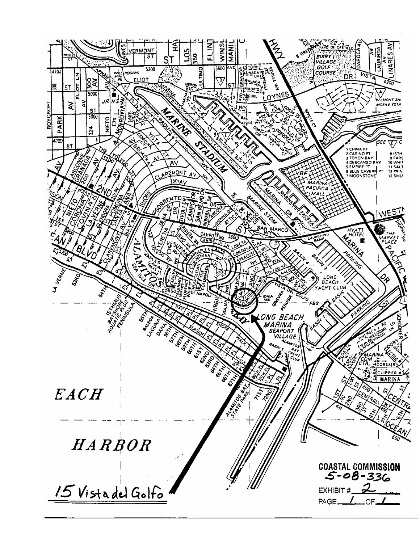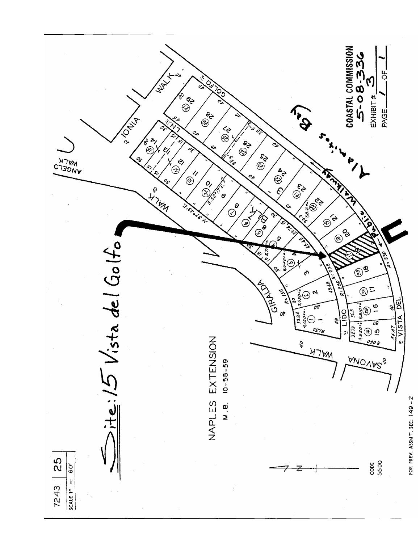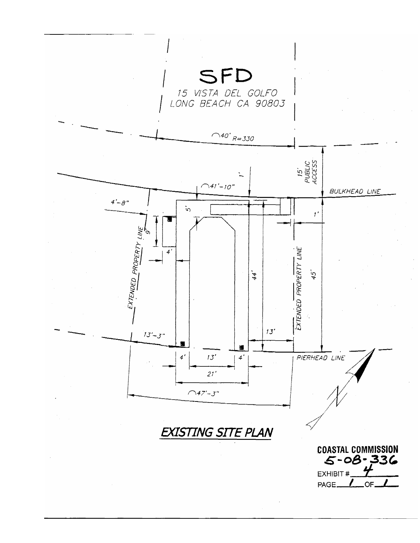